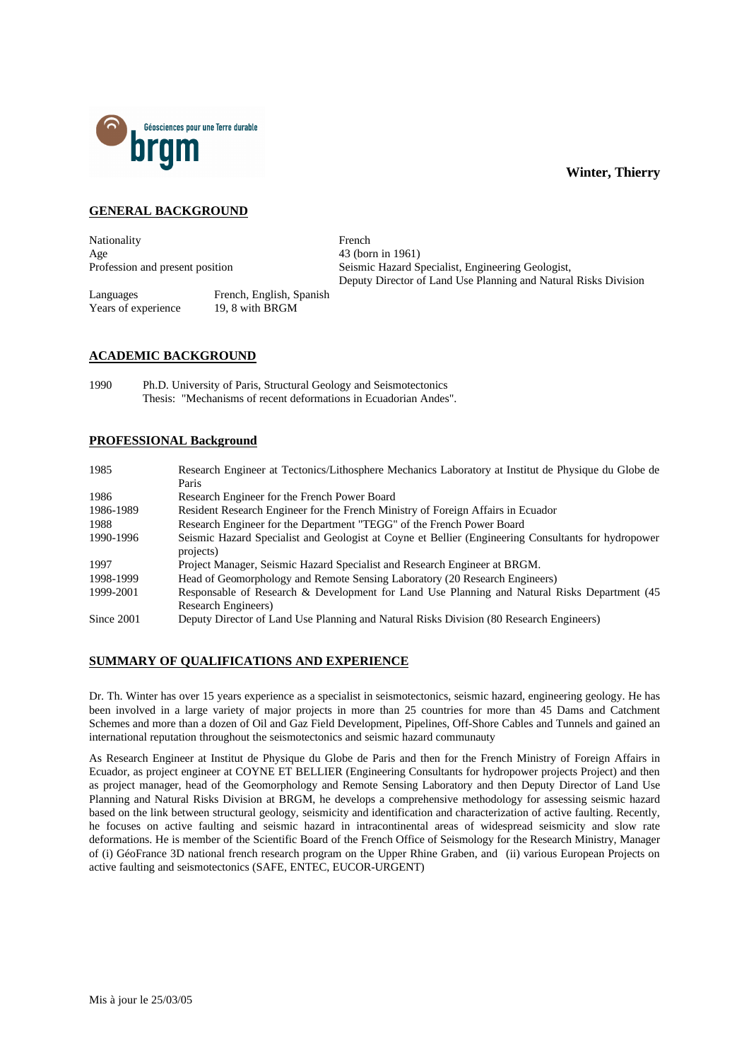

## **GENERAL BACKGROUND**

Nationality **French** Age 43 (born in 1961)

Profession and present position Seismic Hazard Specialist, Engineering Geologist, Deputy Director of Land Use Planning and Natural Risks Division

Languages French, English, Spanish Years of experience 19, 8 with BRGM

## **ACADEMIC BACKGROUND**

1990 Ph.D. University of Paris, Structural Geology and Seismotectonics Thesis: "Mechanisms of recent deformations in Ecuadorian Andes".

## **PROFESSIONAL Background**

| 1985       | Research Engineer at Tectonics/Lithosphere Mechanics Laboratory at Institut de Physique du Globe de |
|------------|-----------------------------------------------------------------------------------------------------|
|            | Paris                                                                                               |
| 1986       | Research Engineer for the French Power Board                                                        |
| 1986-1989  | Resident Research Engineer for the French Ministry of Foreign Affairs in Ecuador                    |
| 1988       | Research Engineer for the Department "TEGG" of the French Power Board                               |
| 1990-1996  | Seismic Hazard Specialist and Geologist at Coyne et Bellier (Engineering Consultants for hydropower |
|            | projects)                                                                                           |
| 1997       | Project Manager, Seismic Hazard Specialist and Research Engineer at BRGM.                           |
| 1998-1999  | Head of Geomorphology and Remote Sensing Laboratory (20 Research Engineers)                         |
| 1999-2001  | Responsable of Research & Development for Land Use Planning and Natural Risks Department (45        |
|            | Research Engineers)                                                                                 |
| Since 2001 | Deputy Director of Land Use Planning and Natural Risks Division (80 Research Engineers)             |

## **SUMMARY OF QUALIFICATIONS AND EXPERIENCE**

Dr. Th. Winter has over 15 years experience as a specialist in seismotectonics, seismic hazard, engineering geology. He has been involved in a large variety of major projects in more than 25 countries for more than 45 Dams and Catchment Schemes and more than a dozen of Oil and Gaz Field Development, Pipelines, Off-Shore Cables and Tunnels and gained an international reputation throughout the seismotectonics and seismic hazard communauty

As Research Engineer at Institut de Physique du Globe de Paris and then for the French Ministry of Foreign Affairs in Ecuador, as project engineer at COYNE ET BELLIER (Engineering Consultants for hydropower projects Project) and then as project manager, head of the Geomorphology and Remote Sensing Laboratory and then Deputy Director of Land Use Planning and Natural Risks Division at BRGM, he develops a comprehensive methodology for assessing seismic hazard based on the link between structural geology, seismicity and identification and characterization of active faulting. Recently, he focuses on active faulting and seismic hazard in intracontinental areas of widespread seismicity and slow rate deformations. He is member of the Scientific Board of the French Office of Seismology for the Research Ministry, Manager of (i) GéoFrance 3D national french research program on the Upper Rhine Graben, and (ii) various European Projects on active faulting and seismotectonics (SAFE, ENTEC, EUCOR-URGENT)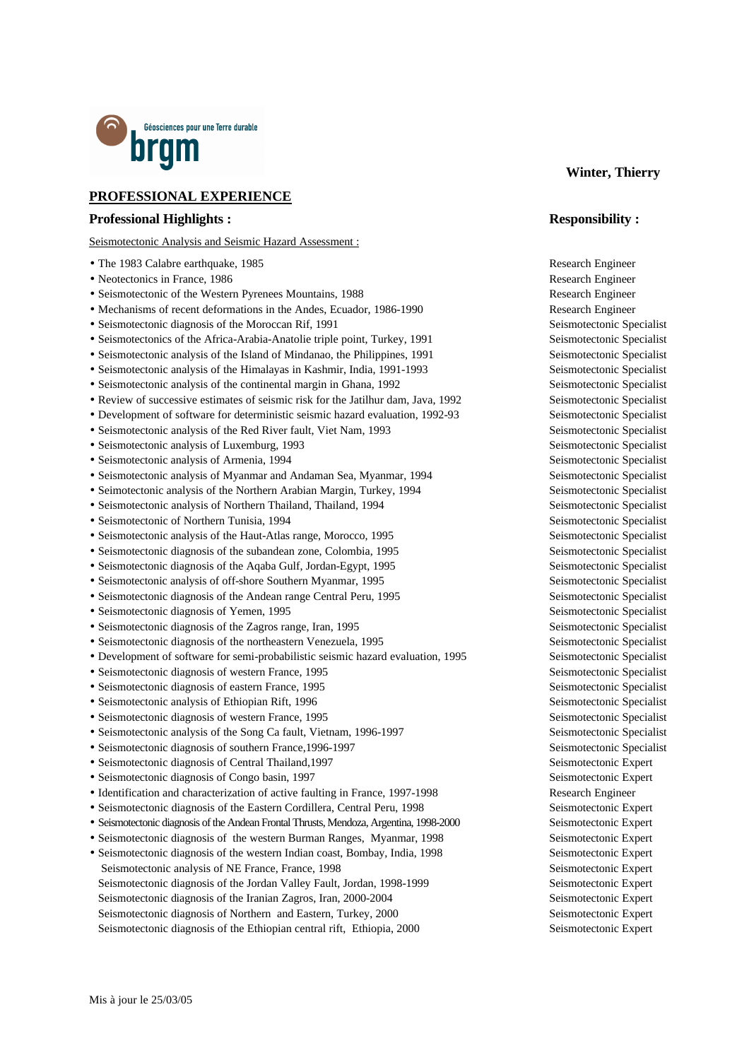

# **PROFESSIONAL EXPERIENCE**

#### **Professional Highlights : Responsibility :**

Seismotectonic Analysis and Seismic Hazard Assessment :

- The 1983 Calabre earthquake, 1985 Research Engineer
- Neotectonics in France, 1986 Research Engineer
- Seismotectonic of the Western Pyrenees Mountains, 1988 Research Engineer
- Mechanisms of recent deformations in the Andes, Ecuador, 1986-1990 Research Engineer
- Seismotectonic diagnosis of the Moroccan Rif, 1991 Seismotectonic Specialist
- Seismotectonics of the Africa-Arabia-Anatolie triple point, Turkey, 1991 Seismotectonic Specialist
- Seismotectonic analysis of the Island of Mindanao, the Philippines, 1991 Seismotectonic Specialist
- Seismotectonic analysis of the Himalayas in Kashmir, India, 1991-1993 Seismotectonic Specialist
- Seismotectonic analysis of the continental margin in Ghana, 1992 Seismotectonic Specialist
- Review of successive estimates of seismic risk for the Jatilhur dam, Java, 1992 Seismotectonic Specialist
- Development of software for deterministic seismic hazard evaluation, 1992-93 Seismotectonic Specialist
- Seismotectonic analysis of the Red River fault, Viet Nam, 1993 Seismotectonic Specialist
- 
- 
- Seismotectonic analysis of Myanmar and Andaman Sea, Myanmar, 1994 Seismotectonic Specialist
- Seimotectonic analysis of the Northern Arabian Margin, Turkey, 1994 Seismotectonic Specialist
- Seismotectonic analysis of Northern Thailand, Thailand, 1994 Seismotectonic Specialist
- Seismotectonic of Northern Tunisia, 1994 Seismotectonic Specialist
- Seismotectonic analysis of the Haut-Atlas range, Morocco, 1995 Seismotectonic Specialist
- Seismotectonic diagnosis of the subandean zone, Colombia, 1995 Seismotectonic Specialist
- Seismotectonic diagnosis of the Aqaba Gulf, Jordan-Egypt, 1995 Seismotectonic Specialist
- Seismotectonic analysis of off-shore Southern Myanmar, 1995 Seismotectonic Specialist
- Seismotectonic diagnosis of the Andean range Central Peru, 1995 Seismotectonic Specialist
- Seismotectonic diagnosis of Yemen, 1995 Seismotectonic Specialist
- Seismotectonic diagnosis of the Zagros range, Iran, 1995 Seismotectonic Specialist
- Seismotectonic diagnosis of the northeastern Venezuela, 1995 Seismotectonic Specialist
- Development of software for semi-probabilistic seismic hazard evaluation, 1995 Seismotectonic Specialist
- Seismotectonic diagnosis of western France, 1995 Seismotectonic Specialist
- Seismotectonic diagnosis of eastern France, 1995 Seismotectonic Specialist
- Seismotectonic analysis of Ethiopian Rift, 1996 Seismotectonic Specialist
- Seismotectonic diagnosis of western France, 1995 Seismotectonic Specialist
- Seismotectonic analysis of the Song Ca fault, Vietnam, 1996-1997 Seismotectonic Specialist
- Seismotectonic diagnosis of southern France, 1996-1997 Seismotectonic Specialist
- Seismotectonic diagnosis of Central Thailand,1997 Seismotectonic Expert
- Seismotectonic diagnosis of Congo basin, 1997 Seismotectonic Expert
- Identification and characterization of active faulting in France, 1997-1998 Research Engineer
- Seismotectonic diagnosis of the Eastern Cordillera, Central Peru, 1998 Seismotectonic Expert
- Seismotectonic diagnosis of the Andean Frontal Thrusts, Mendoza, Argentina, 1998-2000 Seismotectonic Expert
- Seismotectonic diagnosis of the western Burman Ranges, Myanmar, 1998 Seismotectonic Expert
- Seismotectonic diagnosis of the western Indian coast, Bombay, India, 1998 Seismotectonic Expert Seismotectonic analysis of NE France, France, 1998 Seismotectonic Expert Seismotectonic diagnosis of the Jordan Valley Fault, Jordan, 1998-1999 Seismotectonic Expert Seismotectonic diagnosis of the Iranian Zagros, Iran, 2000-2004 Seismotectonic Expert Seismotectonic diagnosis of Northern and Eastern, Turkey, 2000 Seismotectonic Expert Seismotectonic diagnosis of the Ethiopian central rift, Ethiopia, 2000 Seismotectonic Expert

#### **Winter, Thierry**

• Seismotectonic analysis of Luxemburg, 1993 Seismotectonic Specialist • Seismotectonic analysis of Armenia, 1994 Seismotectonic Specialist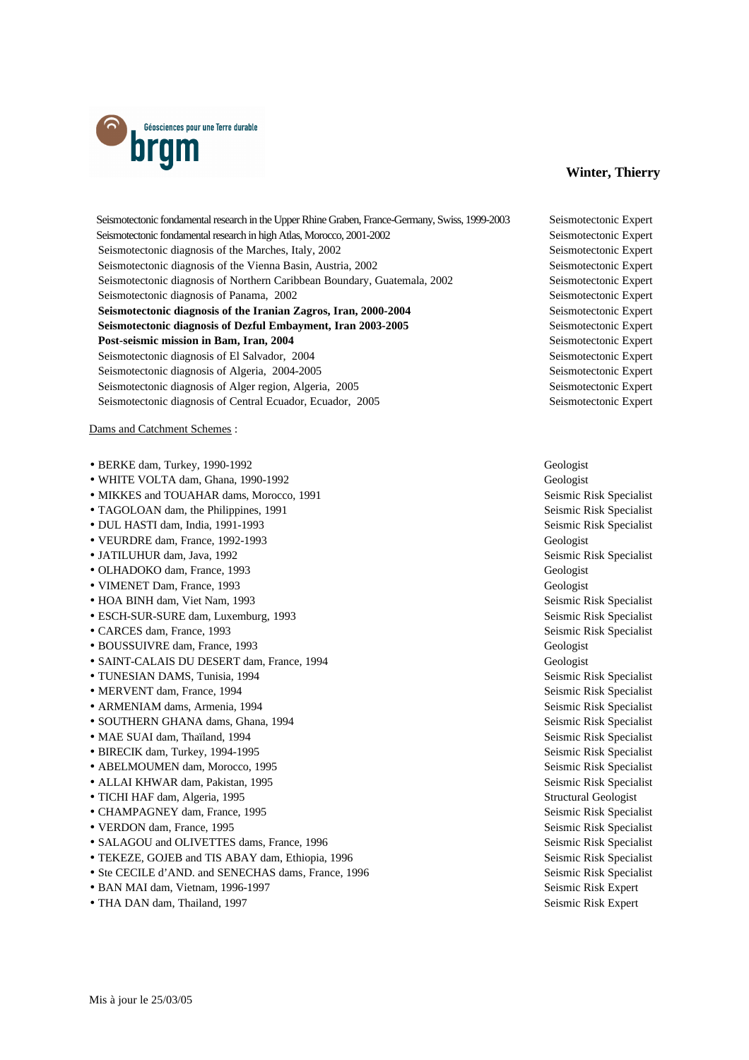

 Seismotectonic fondamental research in the Upper Rhine Graben, France-Germany, Swiss, 1999-2003 Seismotectonic Expert Seismotectonic fondamental research in high Atlas, Morocco, 2001-2002 Seismotectonic Expert Seismotectonic diagnosis of the Marches, Italy, 2002 Seismotectonic Expert Seismotectonic diagnosis of the Vienna Basin, Austria, 2002 Seismotectonic Expert Seismotectonic diagnosis of Northern Caribbean Boundary, Guatemala, 2002 Seismotectonic Expert Seismotectonic diagnosis of Panama, 2002 Seismotectonic Expert **Seismotectonic diagnosis of the Iranian Zagros, Iran, 2000-2004** Seismotectonic Expert **Seismotectonic diagnosis of Dezful Embayment, Iran 2003-2005** Seismotectonic Expert **Post-seismic mission in Bam, Iran, 2004** Seismotectonic Expert Seismotectonic diagnosis of El Salvador, 2004 Seismotectonic Expertition of the Seismotectonic Expert Seismotectonic diagnosis of Algeria, 2004-2005 Seismotectonic Expertition of Algeria, 2004-2005 Seismotectonic diagnosis of Alger region, Algeria, 2005 Seismotectonic Expert Seismotectonic diagnosis of Central Ecuador, Ecuador, 2005 Seismotectonic Expert

Dams and Catchment Schemes :

- BERKE dam, Turkey, 1990-1992 Geologist
- WHITE VOLTA dam, Ghana, 1990-1992 Geologist
- MIKKES and TOUAHAR dams, Morocco, 1991 Seismic Risk Specialist
- TAGOLOAN dam, the Philippines, 1991 Seismic Risk Specialist
- DUL HASTI dam, India, 1991-1993 Seismic Risk Specialist
- VEURDRE dam, France, 1992-1993 Geologist
- 
- OLHADOKO dam, France, 1993 Geologist
- VIMENET Dam, France, 1993 Geologist
- HOA BINH dam, Viet Nam, 1993 Seismic Risk Specialist
- ESCH-SUR-SURE dam, Luxemburg, 1993 Seismic Risk Specialist
- CARCES dam, France, 1993 Seismic Risk Specialist
- BOUSSUIVRE dam, France, 1993 Geologist
- SAINT-CALAIS DU DESERT dam, France, 1994 Geologist
- TUNESIAN DAMS, Tunisia, 1994 Seismic Risk Specialist
- MERVENT dam, France, 1994 Seismic Risk Specialist
- ARMENIAM dams, Armenia, 1994 **Seismic Risk Specialist** Seismic Risk Specialist
- SOUTHERN GHANA dams, Ghana, 1994 Seismic Risk Specialist
- MAE SUAI dam, Thaïland, 1994 Seismic Risk Specialist
- BIRECIK dam, Turkey, 1994-1995 Seismic Risk Specialist
- ABELMOUMEN dam, Morocco, 1995 Seismic Risk Specialist
- ALLAI KHWAR dam, Pakistan, 1995 Seismic Risk Specialist
- TICHI HAF dam, Algeria, 1995 Structural Geologist
- CHAMPAGNEY dam, France, 1995 Seismic Risk Specialist
- VERDON dam, France, 1995 Seismic Risk Specialist
- SALAGOU and OLIVETTES dams, France, 1996 Seismic Risk Specialist
- TEKEZE, GOJEB and TIS ABAY dam, Ethiopia, 1996 Seismic Risk Specialist
- Ste CECILE d'AND. and SENECHAS dams, France, 1996 Seismic Risk Specialist
- BAN MAI dam, Vietnam, 1996-1997 Seismic Risk Expert
- THA DAN dam, Thailand, 1997 Seismic Risk Expert

• JATILUHUR dam, Java, 1992 Seismic Risk Specialist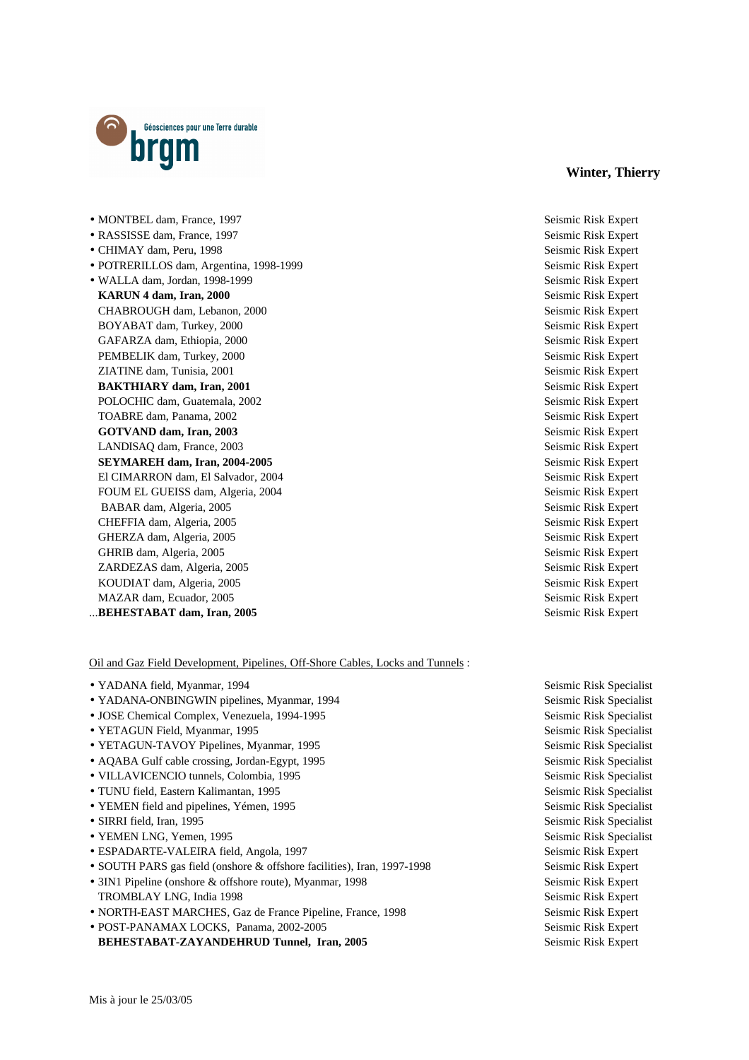

• CHIMAY dam, Peru, 1998 Seismic Risk Expert • POTRERILLOS dam, Argentina, 1998-1999 Seismic Risk Expert • WALLA dam, Jordan, 1998-1999 Seismic Risk Expert **KARUN 4 dam, Iran, 2000** Seismic Risk Expert CHABROUGH dam, Lebanon, 2000 Seismic Risk Expert BOYABAT dam, Turkey, 2000 Seismic Risk Expert Seismic Risk Expert Seismic Risk Expert Seismic Risk Expert Seismic Risk Expert Seismic Risk Expert Seismic Risk Expert Seismic Risk Expert Seismic Risk Expert Seismic Risk Exp GAFARZA dam, Ethiopia, 2000 Seismic Risk Expert PEMBELIK dam, Turkey, 2000 Seismic Risk Expert ZIATINE dam, Tunisia, 2001 Seismic Risk Expert **BAKTHIARY dam, Iran, 2001** Seismic Risk Expert POLOCHIC dam, Guatemala, 2002 Seismic Risk Expert TOABRE dam, Panama, 2002 Seismic Risk Expert **GOTVAND dam, Iran, 2003** Seismic Risk Expert LANDISAQ dam, France, 2003 Seismic Risk Expert **SEYMAREH dam, Iran, 2004-2005** Seismic Risk Expert El CIMARRON dam, El Salvador, 2004 Seismic Risk Expert FOUM EL GUEISS dam, Algeria, 2004 **Seismic Risk Expert** Seismic Risk Expert BABAR dam, Algeria, 2005 Seismic Risk Expert CHEFFIA dam, Algeria, 2005 Seismic Risk Expert GHERZA dam, Algeria, 2005 Seismic Risk Expert (Seismic Risk Expert (Seismic Risk Expert 1991) GHRIB dam, Algeria, 2005 Seismic Risk Expert Company of the Seismic Risk Expert Seismic Risk Expert ZARDEZAS dam, Algeria, 2005 Seismic Risk Expert KOUDIAT dam, Algeria, 2005 Seismic Risk Expert MAZAR dam, Ecuador, 2005 Seismic Risk Expert Seismic Risk Expert

#### ...**BEHESTABAT dam, Iran, 2005** Seismic Risk Expert

Oil and Gaz Field Development, Pipelines, Off-Shore Cables, Locks and Tunnels :

- YADANA field, Myanmar, 1994 Seismic Risk Specialist
- YADANA-ONBINGWIN pipelines, Myanmar, 1994 Seismic Risk Specialist
- JOSE Chemical Complex, Venezuela, 1994-1995 Seismic Risk Specialist
- YETAGUN Field, Myanmar, 1995 Seismic Risk Specialist
- YETAGUN-TAVOY Pipelines, Myanmar, 1995 Seismic Risk Specialist
- AQABA Gulf cable crossing, Jordan-Egypt, 1995 Seismic Risk Specialist
- VILLAVICENCIO tunnels, Colombia, 1995 Seismic Risk Specialist
- TUNU field, Eastern Kalimantan, 1995 Seismic Risk Specialist
- YEMEN field and pipelines, Yémen, 1995 Seismic Risk Specialist
- 
- YEMEN LNG, Yemen, 1995 Seismic Risk Specialist
- ESPADARTE-VALEIRA field, Angola, 1997 Seismic Risk Expert Seismic Risk Expert
- SOUTH PARS gas field (onshore & offshore facilities), Iran, 1997-1998 Seismic Risk Expert
- 3IN1 Pipeline (onshore & offshore route), Myanmar, 1998 Seismic Risk Expert TROMBLAY LNG, India 1998 Seismic Risk Expert
- NORTH-EAST MARCHES, Gaz de France Pipeline, France, 1998 Seismic Risk Expert
- POST-PANAMAX LOCKS, Panama, 2002-2005 Seismic Risk Expert **BEHESTABAT-ZAYANDEHRUD Tunnel, Iran, 2005** Seismic Risk Expert

• MONTBEL dam, France, 1997 Seismic Risk Expert • RASSISSE dam, France, 1997 Seismic Risk Expert

• SIRRI field, Iran, 1995 Seismic Risk Specialist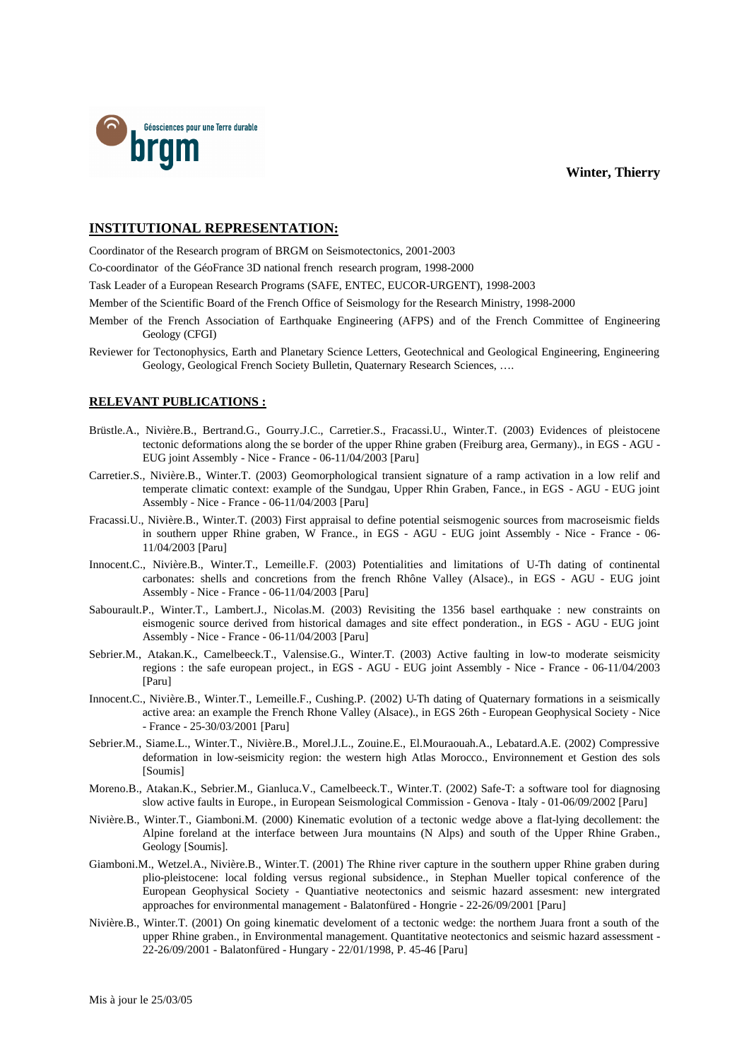



## **INSTITUTIONAL REPRESENTATION:**

Coordinator of the Research program of BRGM on Seismotectonics, 2001-2003

Co-coordinator of the GéoFrance 3D national french research program, 1998-2000

Task Leader of a European Research Programs (SAFE, ENTEC, EUCOR-URGENT), 1998-2003

Member of the Scientific Board of the French Office of Seismology for the Research Ministry, 1998-2000

- Member of the French Association of Earthquake Engineering (AFPS) and of the French Committee of Engineering Geology (CFGI)
- Reviewer for Tectonophysics, Earth and Planetary Science Letters, Geotechnical and Geological Engineering, Engineering Geology, Geological French Society Bulletin, Quaternary Research Sciences, ….

#### **RELEVANT PUBLICATIONS :**

- Brüstle.A., Nivière.B., Bertrand.G., Gourry.J.C., Carretier.S., Fracassi.U., Winter.T. (2003) Evidences of pleistocene tectonic deformations along the se border of the upper Rhine graben (Freiburg area, Germany)., in EGS - AGU - EUG joint Assembly - Nice - France - 06-11/04/2003 [Paru]
- Carretier.S., Nivière.B., Winter.T. (2003) Geomorphological transient signature of a ramp activation in a low relif and temperate climatic context: example of the Sundgau, Upper Rhin Graben, Fance., in EGS - AGU - EUG joint Assembly - Nice - France - 06-11/04/2003 [Paru]
- Fracassi.U., Nivière.B., Winter.T. (2003) First appraisal to define potential seismogenic sources from macroseismic fields in southern upper Rhine graben, W France., in EGS - AGU - EUG joint Assembly - Nice - France - 06- 11/04/2003 [Paru]
- Innocent.C., Nivière.B., Winter.T., Lemeille.F. (2003) Potentialities and limitations of U-Th dating of continental carbonates: shells and concretions from the french Rhône Valley (Alsace)., in EGS - AGU - EUG joint Assembly - Nice - France - 06-11/04/2003 [Paru]
- Sabourault.P., Winter.T., Lambert.J., Nicolas.M. (2003) Revisiting the 1356 basel earthquake : new constraints on eismogenic source derived from historical damages and site effect ponderation., in EGS - AGU - EUG joint Assembly - Nice - France - 06-11/04/2003 [Paru]
- Sebrier.M., Atakan.K., Camelbeeck.T., Valensise.G., Winter.T. (2003) Active faulting in low-to moderate seismicity regions : the safe european project., in EGS - AGU - EUG joint Assembly - Nice - France - 06-11/04/2003 [Paru]
- Innocent.C., Nivière.B., Winter.T., Lemeille.F., Cushing.P. (2002) U-Th dating of Quaternary formations in a seismically active area: an example the French Rhone Valley (Alsace)., in EGS 26th - European Geophysical Society - Nice - France - 25-30/03/2001 [Paru]
- Sebrier.M., Siame.L., Winter.T., Nivière.B., Morel.J.L., Zouine.E., El.Mouraouah.A., Lebatard.A.E. (2002) Compressive deformation in low-seismicity region: the western high Atlas Morocco., Environnement et Gestion des sols [Soumis]
- Moreno.B., Atakan.K., Sebrier.M., Gianluca.V., Camelbeeck.T., Winter.T. (2002) Safe-T: a software tool for diagnosing slow active faults in Europe., in European Seismological Commission - Genova - Italy - 01-06/09/2002 [Paru]
- Nivière.B., Winter.T., Giamboni.M. (2000) Kinematic evolution of a tectonic wedge above a flat-lying decollement: the Alpine foreland at the interface between Jura mountains (N Alps) and south of the Upper Rhine Graben., Geology [Soumis].
- Giamboni.M., Wetzel.A., Nivière.B., Winter.T. (2001) The Rhine river capture in the southern upper Rhine graben during plio-pleistocene: local folding versus regional subsidence., in Stephan Mueller topical conference of the European Geophysical Society - Quantiative neotectonics and seismic hazard assesment: new intergrated approaches for environmental management - Balatonfüred - Hongrie - 22-26/09/2001 [Paru]
- Nivière.B., Winter.T. (2001) On going kinematic develoment of a tectonic wedge: the northem Juara front a south of the upper Rhine graben., in Environmental management. Quantitative neotectonics and seismic hazard assessment - 22-26/09/2001 - Balatonfüred - Hungary - 22/01/1998, P. 45-46 [Paru]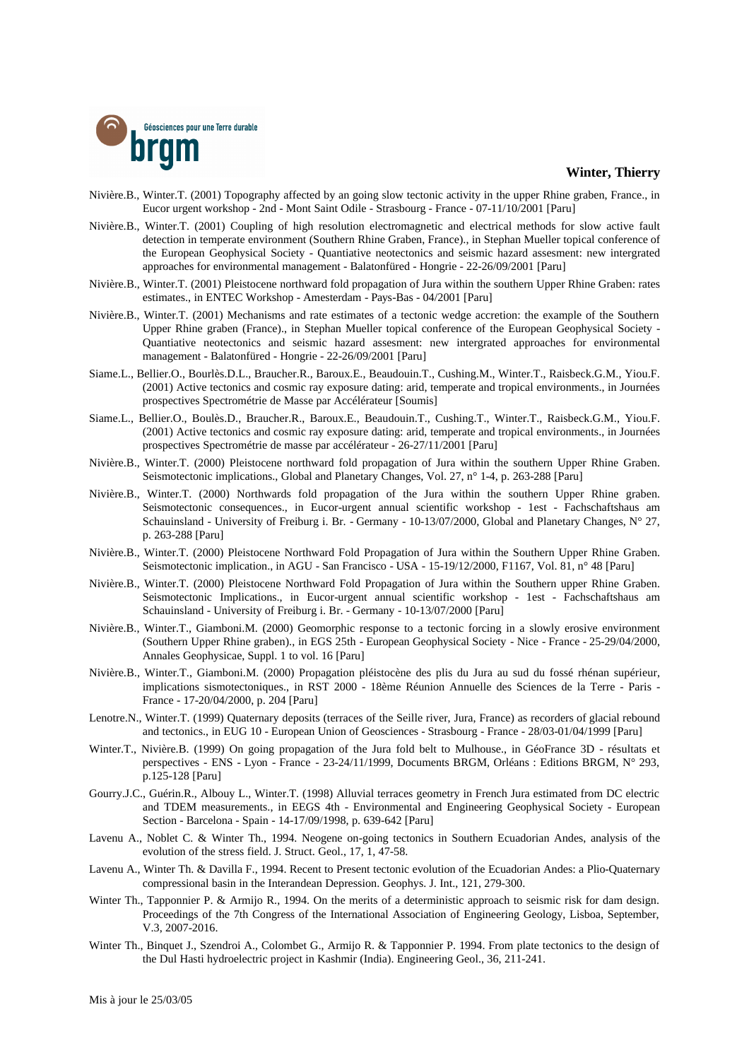

- Nivière.B., Winter.T. (2001) Topography affected by an going slow tectonic activity in the upper Rhine graben, France., in Eucor urgent workshop - 2nd - Mont Saint Odile - Strasbourg - France - 07-11/10/2001 [Paru]
- Nivière.B., Winter.T. (2001) Coupling of high resolution electromagnetic and electrical methods for slow active fault detection in temperate environment (Southern Rhine Graben, France)., in Stephan Mueller topical conference of the European Geophysical Society - Quantiative neotectonics and seismic hazard assesment: new intergrated approaches for environmental management - Balatonfüred - Hongrie - 22-26/09/2001 [Paru]
- Nivière.B., Winter.T. (2001) Pleistocene northward fold propagation of Jura within the southern Upper Rhine Graben: rates estimates., in ENTEC Workshop - Amesterdam - Pays-Bas - 04/2001 [Paru]
- Nivière.B., Winter.T. (2001) Mechanisms and rate estimates of a tectonic wedge accretion: the example of the Southern Upper Rhine graben (France)., in Stephan Mueller topical conference of the European Geophysical Society - Quantiative neotectonics and seismic hazard assesment: new intergrated approaches for environmental management - Balatonfüred - Hongrie - 22-26/09/2001 [Paru]
- Siame.L., Bellier.O., Bourlès.D.L., Braucher.R., Baroux.E., Beaudouin.T., Cushing.M., Winter.T., Raisbeck.G.M., Yiou.F. (2001) Active tectonics and cosmic ray exposure dating: arid, temperate and tropical environments., in Journées prospectives Spectrométrie de Masse par Accélérateur [Soumis]
- Siame.L., Bellier.O., Boulès.D., Braucher.R., Baroux.E., Beaudouin.T., Cushing.T., Winter.T., Raisbeck.G.M., Yiou.F. (2001) Active tectonics and cosmic ray exposure dating: arid, temperate and tropical environments., in Journées prospectives Spectrométrie de masse par accélérateur - 26-27/11/2001 [Paru]
- Nivière.B., Winter.T. (2000) Pleistocene northward fold propagation of Jura within the southern Upper Rhine Graben. Seismotectonic implications., Global and Planetary Changes, Vol. 27, n° 1-4, p. 263-288 [Paru]
- Nivière.B., Winter.T. (2000) Northwards fold propagation of the Jura within the southern Upper Rhine graben. Seismotectonic consequences., in Eucor-urgent annual scientific workshop - 1est - Fachschaftshaus am Schauinsland - University of Freiburg i. Br. - Germany - 10-13/07/2000, Global and Planetary Changes, N° 27, p. 263-288 [Paru]
- Nivière.B., Winter.T. (2000) Pleistocene Northward Fold Propagation of Jura within the Southern Upper Rhine Graben. Seismotectonic implication., in AGU - San Francisco - USA - 15-19/12/2000, F1167, Vol. 81, n° 48 [Paru]
- Nivière.B., Winter.T. (2000) Pleistocene Northward Fold Propagation of Jura within the Southern upper Rhine Graben. Seismotectonic Implications., in Eucor-urgent annual scientific workshop - 1est - Fachschaftshaus am Schauinsland - University of Freiburg i. Br. - Germany - 10-13/07/2000 [Paru]
- Nivière.B., Winter.T., Giamboni.M. (2000) Geomorphic response to a tectonic forcing in a slowly erosive environment (Southern Upper Rhine graben)., in EGS 25th - European Geophysical Society - Nice - France - 25-29/04/2000, Annales Geophysicae, Suppl. 1 to vol. 16 [Paru]
- Nivière.B., Winter.T., Giamboni.M. (2000) Propagation pléistocène des plis du Jura au sud du fossé rhénan supérieur, implications sismotectoniques., in RST 2000 - 18ème Réunion Annuelle des Sciences de la Terre - Paris - France - 17-20/04/2000, p. 204 [Paru]
- Lenotre.N., Winter.T. (1999) Quaternary deposits (terraces of the Seille river, Jura, France) as recorders of glacial rebound and tectonics., in EUG 10 - European Union of Geosciences - Strasbourg - France - 28/03-01/04/1999 [Paru]
- Winter.T., Nivière.B. (1999) On going propagation of the Jura fold belt to Mulhouse., in GéoFrance 3D résultats et perspectives - ENS - Lyon - France - 23-24/11/1999, Documents BRGM, Orléans : Editions BRGM, N° 293, p.125-128 [Paru]
- Gourry.J.C., Guérin.R., Albouy L., Winter.T. (1998) Alluvial terraces geometry in French Jura estimated from DC electric and TDEM measurements., in EEGS 4th - Environmental and Engineering Geophysical Society - European Section - Barcelona - Spain - 14-17/09/1998, p. 639-642 [Paru]
- Lavenu A., Noblet C. & Winter Th., 1994. Neogene on-going tectonics in Southern Ecuadorian Andes, analysis of the evolution of the stress field. J. Struct. Geol., 17, 1, 47-58.
- Lavenu A., Winter Th. & Davilla F., 1994. Recent to Present tectonic evolution of the Ecuadorian Andes: a Plio-Quaternary compressional basin in the Interandean Depression. Geophys. J. Int., 121, 279-300.
- Winter Th., Tapponnier P. & Armijo R., 1994. On the merits of a deterministic approach to seismic risk for dam design. Proceedings of the 7th Congress of the International Association of Engineering Geology, Lisboa, September, V.3, 2007-2016.
- Winter Th., Binquet J., Szendroi A., Colombet G., Armijo R. & Tapponnier P. 1994. From plate tectonics to the design of the Dul Hasti hydroelectric project in Kashmir (India). Engineering Geol., 36, 211-241.